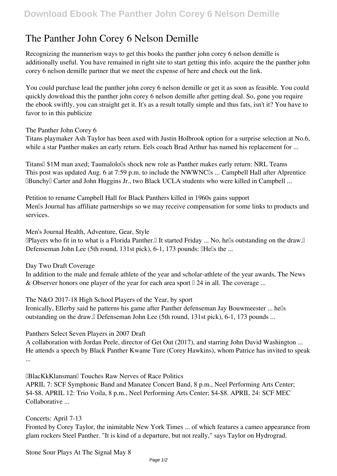## **The Panther John Corey 6 Nelson Demille**

Recognizing the mannerism ways to get this books **the panther john corey 6 nelson demille** is additionally useful. You have remained in right site to start getting this info. acquire the the panther john corey 6 nelson demille partner that we meet the expense of here and check out the link.

You could purchase lead the panther john corey 6 nelson demille or get it as soon as feasible. You could quickly download this the panther john corey 6 nelson demille after getting deal. So, gone you require the ebook swiftly, you can straight get it. It's as a result totally simple and thus fats, isn't it? You have to favor to in this publicize

**The Panther John Corey 6**

Titans playmaker Ash Taylor has been axed with Justin Holbrook option for a surprise selection at No.6, while a star Panther makes an early return. Eels coach Brad Arthur has named his replacement for ...

**Titans' \$1M man axed; Taumalolo's shock new role as Panther makes early return: NRL Teams** This post was updated Aug. 6 at 7:59 p.m. to include the NWWNC<sup>I</sup>s ... Campbell Hall after Alprentice **EBunchy** Carter and John Huggins Jr., two Black UCLA students who were killed in Campbell ...

**Petition to rename Campbell Hall for Black Panthers killed in 1960s gains support** Men's Journal has affiliate partnerships so we may receive compensation for some links to products and services.

**Men's Journal Health, Adventure, Gear, Style**

"IPlayers who fit in to what is a Florida Panther." It started Friday ... No, hells outstanding on the draw." Defenseman John Lee (5th round, 131st pick), 6-1, 173 pounds: IHells the ...

**Day Two Draft Coverage**

In addition to the male and female athlete of the year and scholar-athlete of the year awards, The News & Observer honors one player of the year for each area sport  $\mathbb{I}$  24 in all. The coverage ...

**The N&O 2017-18 High School Players of the Year, by sport**

Ironically, Ellerby said he patterns his game after Panther defenseman Jay Bouwmeester ... hells outstanding on the draw. Defenseman John Lee (5th round, 131st pick), 6-1, 173 pounds ...

**Panthers Select Seven Players in 2007 Draft**

A collaboration with Jordan Peele, director of Get Out (2017), and starring John David Washington ... He attends a speech by Black Panther Kwame Ture (Corey Hawkins), whom Patrice has invited to speak ...

**'BlacKkKlansman' Touches Raw Nerves of Race Politics** APRIL 7: SCF Symphonic Band and Manatee Concert Band, 8 p.m., Neel Performing Arts Center; \$4-\$8. APRIL 12: Trio Voila, 8 p.m., Neel Performing Arts Center; \$4-\$8. APRIL 24: SCF MEC Collaborative ...

**Concerts: April 7-13**

Fronted by Corey Taylor, the inimitable New York Times ... of which features a cameo appearance from glam rockers Steel Panther. "It is kind of a departure, but not really," says Taylor on Hydrograd.